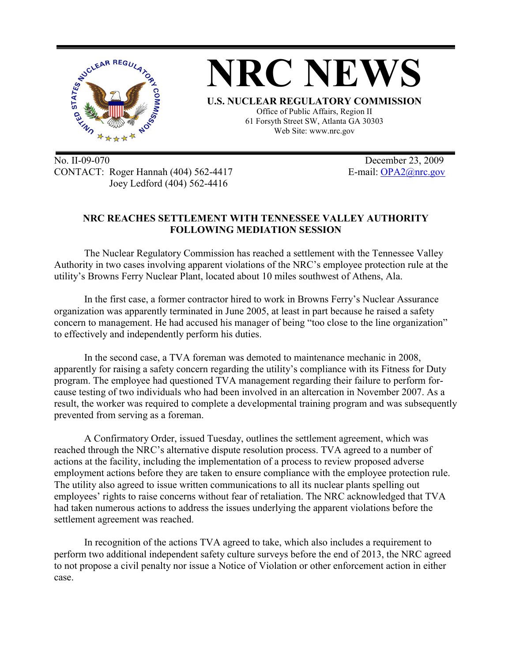

No. II-09-070 December 23, 2009 CONTACT: Roger Hannah (404) 562-4417 E-mail: OPA2@nrc.gov Joey Ledford (404) 562-4416

## **NRC REACHES SETTLEMENT WITH TENNESSEE VALLEY AUTHORITY FOLLOWING MEDIATION SESSION**

The Nuclear Regulatory Commission has reached a settlement with the Tennessee Valley Authority in two cases involving apparent violations of the NRC's employee protection rule at the utility's Browns Ferry Nuclear Plant, located about 10 miles southwest of Athens, Ala.

In the first case, a former contractor hired to work in Browns Ferry's Nuclear Assurance organization was apparently terminated in June 2005, at least in part because he raised a safety concern to management. He had accused his manager of being "too close to the line organization" to effectively and independently perform his duties.

In the second case, a TVA foreman was demoted to maintenance mechanic in 2008, apparently for raising a safety concern regarding the utility's compliance with its Fitness for Duty program. The employee had questioned TVA management regarding their failure to perform forcause testing of two individuals who had been involved in an altercation in November 2007. As a result, the worker was required to complete a developmental training program and was subsequently prevented from serving as a foreman.

A Confirmatory Order, issued Tuesday, outlines the settlement agreement, which was reached through the NRC's alternative dispute resolution process. TVA agreed to a number of actions at the facility, including the implementation of a process to review proposed adverse employment actions before they are taken to ensure compliance with the employee protection rule. The utility also agreed to issue written communications to all its nuclear plants spelling out employees' rights to raise concerns without fear of retaliation. The NRC acknowledged that TVA had taken numerous actions to address the issues underlying the apparent violations before the settlement agreement was reached.

In recognition of the actions TVA agreed to take, which also includes a requirement to perform two additional independent safety culture surveys before the end of 2013, the NRC agreed to not propose a civil penalty nor issue a Notice of Violation or other enforcement action in either case.